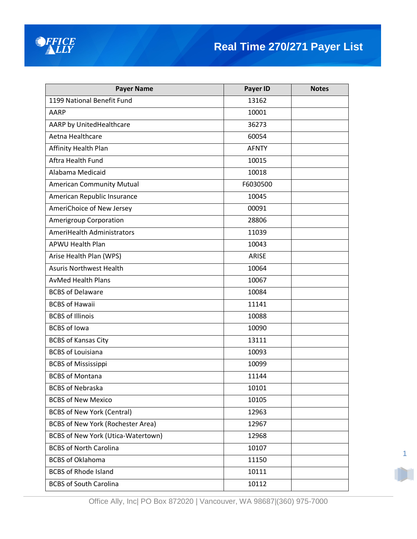

| <b>Payer Name</b>                         | Payer ID     | <b>Notes</b> |
|-------------------------------------------|--------------|--------------|
| 1199 National Benefit Fund                | 13162        |              |
| AARP                                      | 10001        |              |
| AARP by UnitedHealthcare                  | 36273        |              |
| Aetna Healthcare                          | 60054        |              |
| Affinity Health Plan                      | <b>AFNTY</b> |              |
| Aftra Health Fund                         | 10015        |              |
| Alabama Medicaid                          | 10018        |              |
| <b>American Community Mutual</b>          | F6030500     |              |
| American Republic Insurance               | 10045        |              |
| AmeriChoice of New Jersey                 | 00091        |              |
| Amerigroup Corporation                    | 28806        |              |
| <b>AmeriHealth Administrators</b>         | 11039        |              |
| <b>APWU Health Plan</b>                   | 10043        |              |
| Arise Health Plan (WPS)                   | <b>ARISE</b> |              |
| <b>Asuris Northwest Health</b>            | 10064        |              |
| <b>AvMed Health Plans</b>                 | 10067        |              |
| <b>BCBS of Delaware</b>                   | 10084        |              |
| <b>BCBS of Hawaii</b>                     | 11141        |              |
| <b>BCBS of Illinois</b>                   | 10088        |              |
| <b>BCBS of Iowa</b>                       | 10090        |              |
| <b>BCBS of Kansas City</b>                | 13111        |              |
| <b>BCBS of Louisiana</b>                  | 10093        |              |
| <b>BCBS of Mississippi</b>                | 10099        |              |
| <b>BCBS of Montana</b>                    | 11144        |              |
| <b>BCBS of Nebraska</b>                   | 10101        |              |
| <b>BCBS of New Mexico</b>                 | 10105        |              |
| <b>BCBS of New York (Central)</b>         | 12963        |              |
| <b>BCBS of New York (Rochester Area)</b>  | 12967        |              |
| <b>BCBS of New York (Utica-Watertown)</b> | 12968        |              |
| <b>BCBS of North Carolina</b>             | 10107        |              |
| <b>BCBS of Oklahoma</b>                   | 11150        |              |
| <b>BCBS of Rhode Island</b>               | 10111        |              |
| <b>BCBS of South Carolina</b>             | 10112        |              |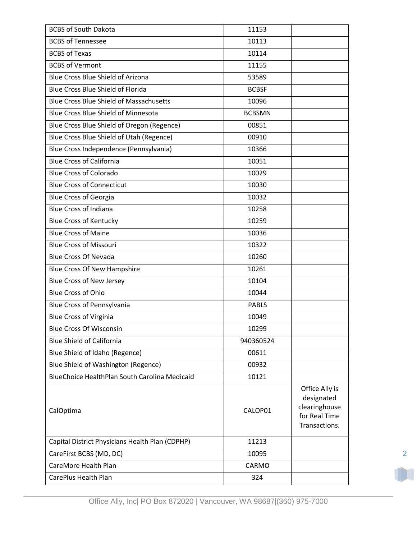| <b>BCBS of South Dakota</b>                     | 11153         |                                                                                 |
|-------------------------------------------------|---------------|---------------------------------------------------------------------------------|
| <b>BCBS of Tennessee</b>                        | 10113         |                                                                                 |
| <b>BCBS of Texas</b>                            | 10114         |                                                                                 |
| <b>BCBS of Vermont</b>                          | 11155         |                                                                                 |
| <b>Blue Cross Blue Shield of Arizona</b>        | 53589         |                                                                                 |
| Blue Cross Blue Shield of Florida               | <b>BCBSF</b>  |                                                                                 |
| <b>Blue Cross Blue Shield of Massachusetts</b>  | 10096         |                                                                                 |
| Blue Cross Blue Shield of Minnesota             | <b>BCBSMN</b> |                                                                                 |
| Blue Cross Blue Shield of Oregon (Regence)      | 00851         |                                                                                 |
| Blue Cross Blue Shield of Utah (Regence)        | 00910         |                                                                                 |
| Blue Cross Independence (Pennsylvania)          | 10366         |                                                                                 |
| <b>Blue Cross of California</b>                 | 10051         |                                                                                 |
| <b>Blue Cross of Colorado</b>                   | 10029         |                                                                                 |
| <b>Blue Cross of Connecticut</b>                | 10030         |                                                                                 |
| <b>Blue Cross of Georgia</b>                    | 10032         |                                                                                 |
| <b>Blue Cross of Indiana</b>                    | 10258         |                                                                                 |
| <b>Blue Cross of Kentucky</b>                   | 10259         |                                                                                 |
| <b>Blue Cross of Maine</b>                      | 10036         |                                                                                 |
| <b>Blue Cross of Missouri</b>                   | 10322         |                                                                                 |
| <b>Blue Cross Of Nevada</b>                     | 10260         |                                                                                 |
| <b>Blue Cross Of New Hampshire</b>              | 10261         |                                                                                 |
| <b>Blue Cross of New Jersey</b>                 | 10104         |                                                                                 |
| <b>Blue Cross of Ohio</b>                       | 10044         |                                                                                 |
| <b>Blue Cross of Pennsylvania</b>               | <b>PABLS</b>  |                                                                                 |
| <b>Blue Cross of Virginia</b>                   | 10049         |                                                                                 |
| <b>Blue Cross Of Wisconsin</b>                  | 10299         |                                                                                 |
| <b>Blue Shield of California</b>                | 940360524     |                                                                                 |
| Blue Shield of Idaho (Regence)                  | 00611         |                                                                                 |
| Blue Shield of Washington (Regence)             | 00932         |                                                                                 |
| BlueChoice HealthPlan South Carolina Medicaid   | 10121         |                                                                                 |
| CalOptima                                       | CALOP01       | Office Ally is<br>designated<br>clearinghouse<br>for Real Time<br>Transactions. |
| Capital District Physicians Health Plan (CDPHP) | 11213         |                                                                                 |
| CareFirst BCBS (MD, DC)                         | 10095         |                                                                                 |
| CareMore Health Plan                            | CARMO         |                                                                                 |
| CarePlus Health Plan                            | 324           |                                                                                 |
|                                                 |               |                                                                                 |

m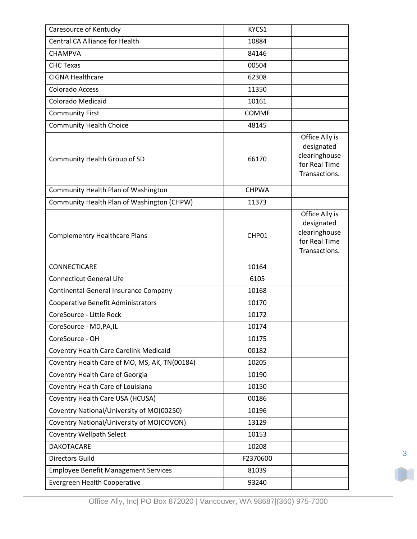| Caresource of Kentucky                        | KYCS1        |                                                                                 |
|-----------------------------------------------|--------------|---------------------------------------------------------------------------------|
| <b>Central CA Alliance for Health</b>         | 10884        |                                                                                 |
| <b>CHAMPVA</b>                                | 84146        |                                                                                 |
| <b>CHC Texas</b>                              | 00504        |                                                                                 |
| <b>CIGNA Healthcare</b>                       | 62308        |                                                                                 |
| <b>Colorado Access</b>                        | 11350        |                                                                                 |
| Colorado Medicaid                             | 10161        |                                                                                 |
| <b>Community First</b>                        | <b>COMMF</b> |                                                                                 |
| <b>Community Health Choice</b>                | 48145        |                                                                                 |
| Community Health Group of SD                  | 66170        | Office Ally is<br>designated<br>clearinghouse<br>for Real Time<br>Transactions. |
| Community Health Plan of Washington           | <b>CHPWA</b> |                                                                                 |
| Community Health Plan of Washington (CHPW)    | 11373        |                                                                                 |
| <b>Complementry Healthcare Plans</b>          | CHP01        | Office Ally is<br>designated<br>clearinghouse<br>for Real Time<br>Transactions. |
|                                               |              |                                                                                 |
| CONNECTICARE                                  | 10164        |                                                                                 |
| <b>Connecticut General Life</b>               | 6105         |                                                                                 |
| Continental General Insurance Company         | 10168        |                                                                                 |
| <b>Cooperative Benefit Administrators</b>     | 10170        |                                                                                 |
| CoreSource - Little Rock                      | 10172        |                                                                                 |
| CoreSource - MD, PA, IL                       | 10174        |                                                                                 |
| CoreSource - OH                               | 10175        |                                                                                 |
| Coventry Health Care Carelink Medicaid        | 00182        |                                                                                 |
| Coventry Health Care of MO, MS, AK, TN(00184) | 10205        |                                                                                 |
| Coventry Health Care of Georgia               | 10190        |                                                                                 |
| Coventry Health Care of Louisiana             | 10150        |                                                                                 |
| Coventry Health Care USA (HCUSA)              | 00186        |                                                                                 |
| Coventry National/University of MO(00250)     | 10196        |                                                                                 |
| Coventry National/University of MO(COVON)     | 13129        |                                                                                 |
| <b>Coventry Wellpath Select</b>               | 10153        |                                                                                 |
| DAKOTACARE                                    | 10208        |                                                                                 |
| <b>Directors Guild</b>                        | F2370600     |                                                                                 |
| <b>Employee Benefit Management Services</b>   | 81039        |                                                                                 |

Office Ally, Inc| PO Box 872020 | Vancouver, WA 98687|(360) 975-7000

3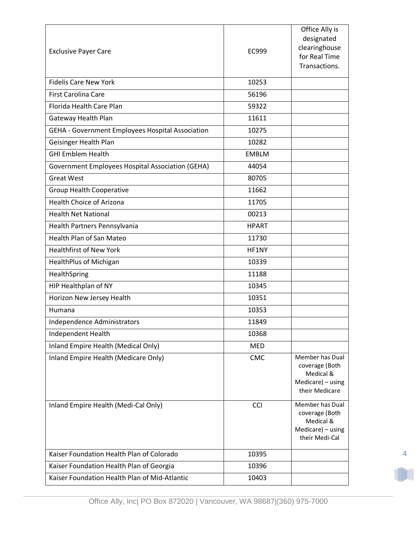| <b>Exclusive Payer Care</b>                             | EC999        | Office Ally is<br>designated<br>clearinghouse<br>for Real Time<br>Transactions.       |
|---------------------------------------------------------|--------------|---------------------------------------------------------------------------------------|
| <b>Fidelis Care New York</b>                            | 10253        |                                                                                       |
| <b>First Carolina Care</b>                              | 56196        |                                                                                       |
| Florida Health Care Plan                                | 59322        |                                                                                       |
| Gateway Health Plan                                     | 11611        |                                                                                       |
| GEHA - Government Employees Hospital Association        | 10275        |                                                                                       |
| Geisinger Health Plan                                   | 10282        |                                                                                       |
| <b>GHI Emblem Health</b>                                | <b>EMBLM</b> |                                                                                       |
| <b>Government Employees Hospital Association (GEHA)</b> | 44054        |                                                                                       |
| <b>Great West</b>                                       | 80705        |                                                                                       |
| <b>Group Health Cooperative</b>                         | 11662        |                                                                                       |
| <b>Health Choice of Arizona</b>                         | 11705        |                                                                                       |
| <b>Health Net National</b>                              | 00213        |                                                                                       |
| Health Partners Pennsylvania                            | <b>HPART</b> |                                                                                       |
| <b>Health Plan of San Mateo</b>                         | 11730        |                                                                                       |
| <b>Healthfirst of New York</b>                          | HF1NY        |                                                                                       |
| HealthPlus of Michigan                                  | 10339        |                                                                                       |
| HealthSpring                                            | 11188        |                                                                                       |
| HIP Healthplan of NY                                    | 10345        |                                                                                       |
| Horizon New Jersey Health                               | 10351        |                                                                                       |
| Humana                                                  | 10353        |                                                                                       |
| Independence Administrators                             | 11849        |                                                                                       |
| Independent Health                                      | 10368        |                                                                                       |
| Inland Empire Health (Medical Only)                     | <b>MED</b>   |                                                                                       |
| Inland Empire Health (Medicare Only)                    | CMC          | Member has Dual<br>coverage (Both<br>Medical &<br>Medicare) - using<br>their Medicare |
| Inland Empire Health (Medi-Cal Only)                    | <b>CCI</b>   | Member has Dual<br>coverage (Both<br>Medical &<br>Medicare) - using<br>their Medi-Cal |
| Kaiser Foundation Health Plan of Colorado               | 10395        |                                                                                       |
| Kaiser Foundation Health Plan of Georgia                | 10396        |                                                                                       |
| Kaiser Foundation Health Plan of Mid-Atlantic           | 10403        |                                                                                       |

4

Office Ally, Inc| PO Box 872020 | Vancouver, WA 98687|(360) 975-7000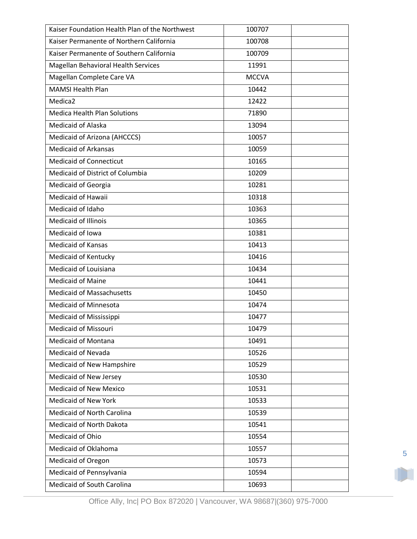| Kaiser Foundation Health Plan of the Northwest | 100707       |  |
|------------------------------------------------|--------------|--|
| Kaiser Permanente of Northern California       | 100708       |  |
| Kaiser Permanente of Southern California       | 100709       |  |
| Magellan Behavioral Health Services            | 11991        |  |
| Magellan Complete Care VA                      | <b>MCCVA</b> |  |
| <b>MAMSI Health Plan</b>                       | 10442        |  |
| Medica <sub>2</sub>                            | 12422        |  |
| <b>Medica Health Plan Solutions</b>            | 71890        |  |
| <b>Medicaid of Alaska</b>                      | 13094        |  |
| Medicaid of Arizona (AHCCCS)                   | 10057        |  |
| <b>Medicaid of Arkansas</b>                    | 10059        |  |
| <b>Medicaid of Connecticut</b>                 | 10165        |  |
| Medicaid of District of Columbia               | 10209        |  |
| Medicaid of Georgia                            | 10281        |  |
| Medicaid of Hawaii                             | 10318        |  |
| Medicaid of Idaho                              | 10363        |  |
| <b>Medicaid of Illinois</b>                    | 10365        |  |
| Medicaid of Iowa                               | 10381        |  |
| <b>Medicaid of Kansas</b>                      | 10413        |  |
| <b>Medicaid of Kentucky</b>                    | 10416        |  |
| Medicaid of Louisiana                          | 10434        |  |
| <b>Medicaid of Maine</b>                       | 10441        |  |
| <b>Medicaid of Massachusetts</b>               | 10450        |  |
| <b>Medicaid of Minnesota</b>                   | 10474        |  |
| Medicaid of Mississippi                        | 10477        |  |
| Medicaid of Missouri                           | 10479        |  |
| <b>Medicaid of Montana</b>                     | 10491        |  |
| <b>Medicaid of Nevada</b>                      | 10526        |  |
| Medicaid of New Hampshire                      | 10529        |  |
| Medicaid of New Jersey                         | 10530        |  |
| <b>Medicaid of New Mexico</b>                  | 10531        |  |
| <b>Medicaid of New York</b>                    | 10533        |  |
| Medicaid of North Carolina                     | 10539        |  |
| <b>Medicaid of North Dakota</b>                | 10541        |  |
| Medicaid of Ohio                               | 10554        |  |
| Medicaid of Oklahoma                           | 10557        |  |
| Medicaid of Oregon                             | 10573        |  |
| Medicaid of Pennsylvania                       | 10594        |  |
| Medicaid of South Carolina                     | 10693        |  |

Office Ally, Inc| PO Box 872020 | Vancouver, WA 98687|(360) 975-7000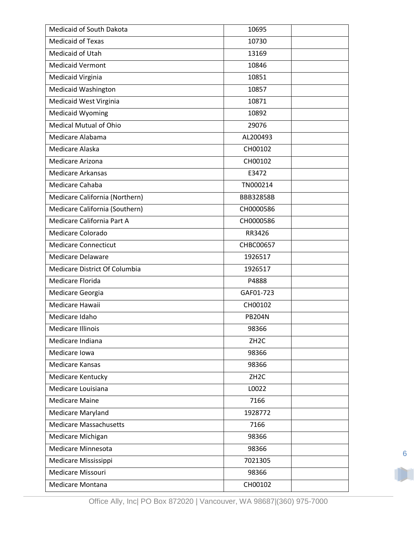| <b>Medicaid of Texas</b><br>10730<br>Medicaid of Utah<br>13169<br><b>Medicaid Vermont</b><br>10846<br>Medicaid Virginia<br>10851<br><b>Medicaid Washington</b><br>10857<br>Medicaid West Virginia<br>10871 |
|------------------------------------------------------------------------------------------------------------------------------------------------------------------------------------------------------------|
|                                                                                                                                                                                                            |
|                                                                                                                                                                                                            |
|                                                                                                                                                                                                            |
|                                                                                                                                                                                                            |
|                                                                                                                                                                                                            |
|                                                                                                                                                                                                            |
| <b>Medicaid Wyoming</b><br>10892                                                                                                                                                                           |
| <b>Medical Mutual of Ohio</b><br>29076                                                                                                                                                                     |
| Medicare Alabama<br>AL200493                                                                                                                                                                               |
| Medicare Alaska<br>CH00102                                                                                                                                                                                 |
| Medicare Arizona<br>CH00102                                                                                                                                                                                |
| <b>Medicare Arkansas</b><br>E3472                                                                                                                                                                          |
| Medicare Cahaba<br>TN000214                                                                                                                                                                                |
| Medicare California (Northern)<br>BBB32858B                                                                                                                                                                |
| Medicare California (Southern)<br>CH0000586                                                                                                                                                                |
| Medicare California Part A<br>CH0000586                                                                                                                                                                    |
| Medicare Colorado<br>RR3426                                                                                                                                                                                |
| <b>Medicare Connecticut</b><br>CHBC00657                                                                                                                                                                   |
| <b>Medicare Delaware</b><br>1926517                                                                                                                                                                        |
| Medicare District Of Columbia<br>1926517                                                                                                                                                                   |
| Medicare Florida<br>P4888                                                                                                                                                                                  |
| GAF01-723<br>Medicare Georgia                                                                                                                                                                              |
| Medicare Hawaii<br>CH00102                                                                                                                                                                                 |
| Medicare Idaho<br><b>PB204N</b>                                                                                                                                                                            |
| 98366<br>Medicare Illinois                                                                                                                                                                                 |
| Medicare Indiana<br>ZH <sub>2</sub> C                                                                                                                                                                      |
| Medicare Iowa<br>98366                                                                                                                                                                                     |
| <b>Medicare Kansas</b><br>98366                                                                                                                                                                            |
| ZH <sub>2</sub> C<br><b>Medicare Kentucky</b>                                                                                                                                                              |
| Medicare Louisiana<br>L0022                                                                                                                                                                                |
| <b>Medicare Maine</b><br>7166                                                                                                                                                                              |
| Medicare Maryland<br>1928772                                                                                                                                                                               |
| <b>Medicare Massachusetts</b><br>7166                                                                                                                                                                      |
| Medicare Michigan<br>98366                                                                                                                                                                                 |
| Medicare Minnesota<br>98366                                                                                                                                                                                |
| Medicare Mississippi<br>7021305                                                                                                                                                                            |
| Medicare Missouri<br>98366                                                                                                                                                                                 |
| CH00102<br>Medicare Montana                                                                                                                                                                                |

Office Ally, Inc| PO Box 872020 | Vancouver, WA 98687|(360) 975-7000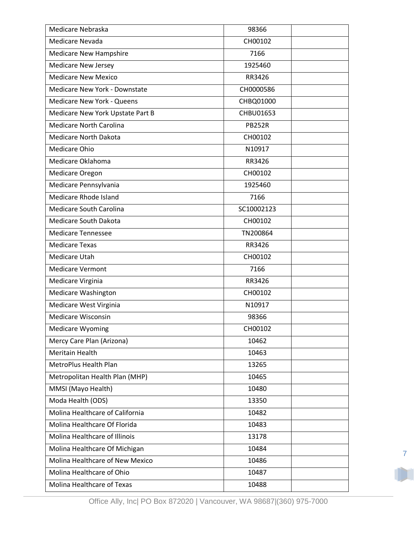| Medicare Nevada<br>CH00102<br><b>Medicare New Hampshire</b><br>7166<br><b>Medicare New Jersey</b><br>1925460<br><b>Medicare New Mexico</b><br>RR3426<br>Medicare New York - Downstate<br>CH0000586<br><b>Medicare New York - Queens</b><br>CHBQ01000 |
|------------------------------------------------------------------------------------------------------------------------------------------------------------------------------------------------------------------------------------------------------|
|                                                                                                                                                                                                                                                      |
|                                                                                                                                                                                                                                                      |
|                                                                                                                                                                                                                                                      |
|                                                                                                                                                                                                                                                      |
|                                                                                                                                                                                                                                                      |
|                                                                                                                                                                                                                                                      |
| Medicare New York Upstate Part B<br>CHBU01653                                                                                                                                                                                                        |
| <b>Medicare North Carolina</b><br><b>PB252R</b>                                                                                                                                                                                                      |
| <b>Medicare North Dakota</b><br>CH00102                                                                                                                                                                                                              |
| Medicare Ohio<br>N10917                                                                                                                                                                                                                              |
| Medicare Oklahoma<br>RR3426                                                                                                                                                                                                                          |
| CH00102<br>Medicare Oregon                                                                                                                                                                                                                           |
| Medicare Pennsylvania<br>1925460                                                                                                                                                                                                                     |
| Medicare Rhode Island<br>7166                                                                                                                                                                                                                        |
| Medicare South Carolina<br>SC10002123                                                                                                                                                                                                                |
| <b>Medicare South Dakota</b><br>CH00102                                                                                                                                                                                                              |
| <b>Medicare Tennessee</b><br>TN200864                                                                                                                                                                                                                |
| <b>Medicare Texas</b><br>RR3426                                                                                                                                                                                                                      |
| Medicare Utah<br>CH00102                                                                                                                                                                                                                             |
| <b>Medicare Vermont</b><br>7166                                                                                                                                                                                                                      |
| Medicare Virginia<br>RR3426                                                                                                                                                                                                                          |
| <b>Medicare Washington</b><br>CH00102                                                                                                                                                                                                                |
| Medicare West Virginia<br>N10917                                                                                                                                                                                                                     |
| <b>Medicare Wisconsin</b><br>98366                                                                                                                                                                                                                   |
| Medicare Wyoming<br>CH00102                                                                                                                                                                                                                          |
| Mercy Care Plan (Arizona)<br>10462                                                                                                                                                                                                                   |
| Meritain Health<br>10463                                                                                                                                                                                                                             |
| MetroPlus Health Plan<br>13265                                                                                                                                                                                                                       |
| Metropolitan Health Plan (MHP)<br>10465                                                                                                                                                                                                              |
| MMSI (Mayo Health)<br>10480                                                                                                                                                                                                                          |
| Moda Health (ODS)<br>13350                                                                                                                                                                                                                           |
| Molina Healthcare of California<br>10482                                                                                                                                                                                                             |
| Molina Healthcare Of Florida<br>10483                                                                                                                                                                                                                |
| Molina Healthcare of Illinois<br>13178                                                                                                                                                                                                               |
| Molina Healthcare Of Michigan<br>10484                                                                                                                                                                                                               |
| Molina Healthcare of New Mexico<br>10486                                                                                                                                                                                                             |
| Molina Healthcare of Ohio<br>10487                                                                                                                                                                                                                   |
| Molina Healthcare of Texas<br>10488                                                                                                                                                                                                                  |

7